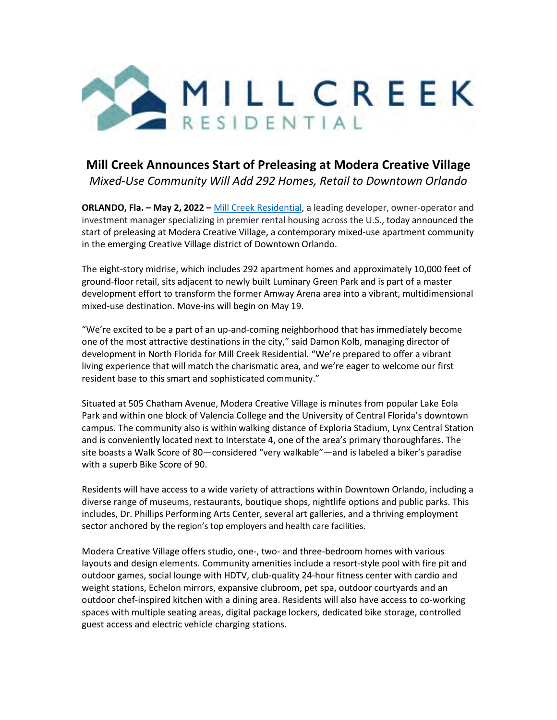

## **Mill Creek Announces Start of Preleasing at Modera Creative Village** *Mixed-Use Community Will Add 292 Homes, Retail to Downtown Orlando*

**ORLANDO, Fla. – May 2, 2022 –** [Mill Creek Residential,](https://www.millcreekplaces.com/?utm_source=Press%20Release&utm_content=westwashpark) a leading developer, owner-operator and investment manager specializing in premier rental housing across the U.S., today announced the start of preleasing at Modera Creative Village, a contemporary mixed-use apartment community in the emerging Creative Village district of Downtown Orlando.

The eight-story midrise, which includes 292 apartment homes and approximately 10,000 feet of ground-floor retail, sits adjacent to newly built Luminary Green Park and is part of a master development effort to transform the former Amway Arena area into a vibrant, multidimensional mixed-use destination. Move-ins will begin on May 19.

"We're excited to be a part of an up-and-coming neighborhood that has immediately become one of the most attractive destinations in the city," said Damon Kolb, managing director of development in North Florida for Mill Creek Residential. "We're prepared to offer a vibrant living experience that will match the charismatic area, and we're eager to welcome our first resident base to this smart and sophisticated community."

Situated at 505 Chatham Avenue, Modera Creative Village is minutes from popular Lake Eola Park and within one block of Valencia College and the University of Central Florida's downtown campus. The community also is within walking distance of Exploria Stadium, Lynx Central Station and is conveniently located next to Interstate 4, one of the area's primary thoroughfares. The site boasts a Walk Score of 80—considered "very walkable"—and is labeled a biker's paradise with a superb Bike Score of 90.

Residents will have access to a wide variety of attractions within Downtown Orlando, including a diverse range of museums, restaurants, boutique shops, nightlife options and public parks. This includes, Dr. Phillips Performing Arts Center, several art galleries, and a thriving employment sector anchored by the region's top employers and health care facilities.

Modera Creative Village offers studio, one-, two- and three-bedroom homes with various layouts and design elements. Community amenities include a resort-style pool with fire pit and outdoor games, social lounge with HDTV, club-quality 24-hour fitness center with cardio and weight stations, Echelon mirrors, expansive clubroom, pet spa, outdoor courtyards and an outdoor chef-inspired kitchen with a dining area. Residents will also have access to co-working spaces with multiple seating areas, digital package lockers, dedicated bike storage, controlled guest access and electric vehicle charging stations.